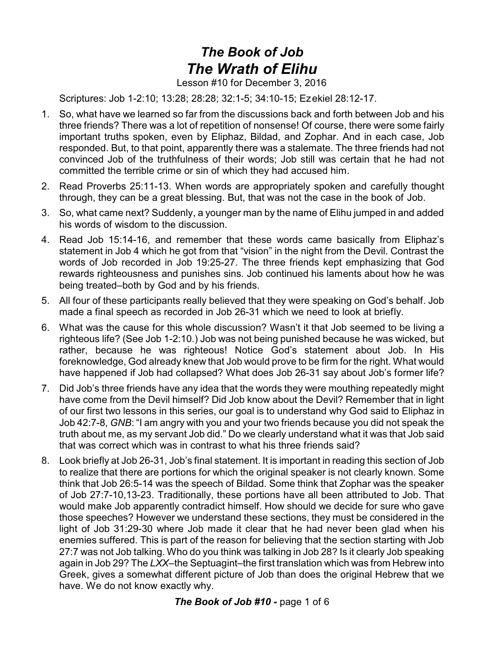# *The Book of Job The Wrath of Elihu*

### Lesson #10 for December 3, 2016

Scriptures: Job 1-2:10; 13:28; 28:28; 32:1-5; 34:10-15; Ezekiel 28:12-17.

- 1. So, what have we learned so far from the discussions back and forth between Job and his three friends? There was a lot of repetition of nonsense! Of course, there were some fairly important truths spoken, even by Eliphaz, Bildad, and Zophar. And in each case, Job responded. But, to that point, apparently there was a stalemate. The three friends had not convinced Job of the truthfulness of their words; Job still was certain that he had not committed the terrible crime or sin of which they had accused him.
- 2. Read Proverbs 25:11-13. When words are appropriately spoken and carefully thought through, they can be a great blessing. But, that was not the case in the book of Job.
- 3. So, what came next? Suddenly, a younger man by the name of Elihu jumped in and added his words of wisdom to the discussion.
- 4. Read Job 15:14-16, and remember that these words came basically from Eliphaz's statement in Job 4 which he got from that "vision" in the night from the Devil. Contrast the words of Job recorded in Job 19:25-27. The three friends kept emphasizing that God rewards righteousness and punishes sins. Job continued his laments about how he was being treated–both by God and by his friends.
- 5. All four of these participants really believed that they were speaking on God's behalf. Job made a final speech as recorded in Job 26-31 which we need to look at briefly.
- 6. What was the cause for this whole discussion? Wasn't it that Job seemed to be living a righteous life? (See Job 1-2:10.) Job was not being punished because he was wicked, but rather, because he was righteous! Notice God's statement about Job. In His foreknowledge, God already knew that Job would prove to be firm for the right. What would have happened if Job had collapsed? What does Job 26-31 say about Job's former life?
- 7. Did Job's three friends have any idea that the words they were mouthing repeatedly might have come from the Devil himself? Did Job know about the Devil? Remember that in light of our first two lessons in this series, our goal is to understand why God said to Eliphaz in Job 42:7-8, *GNB*: "I am angry with you and your two friends because you did not speak the truth about me, as my servant Job did." Do we clearly understand what it was that Job said that was correct which was in contrast to what his three friends said?
- 8. Look briefly at Job 26-31, Job's final statement. It is important in reading this section of Job to realize that there are portions for which the original speaker is not clearly known. Some think that Job 26:5-14 was the speech of Bildad. Some think that Zophar was the speaker of Job 27:7-10,13-23. Traditionally, these portions have all been attributed to Job. That would make Job apparently contradict himself. How should we decide for sure who gave those speeches? However we understand these sections, they must be considered in the light of Job 31:29-30 where Job made it clear that he had never been glad when his enemies suffered. This is part of the reason for believing that the section starting with Job 27:7 was not Job talking. Who do you think was talking in Job 28? Is it clearly Job speaking again in Job 29? The *LXX*–the Septuagint–the first translation which was from Hebrew into Greek, gives a somewhat different picture of Job than does the original Hebrew that we have. We do not know exactly why.

*The Book of Job #10 -* page 1 of 6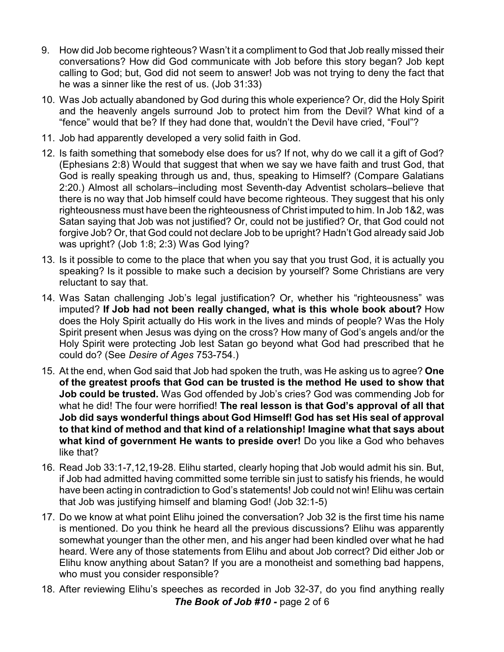- 9. How did Job become righteous? Wasn't it a compliment to God that Job really missed their conversations? How did God communicate with Job before this story began? Job kept calling to God; but, God did not seem to answer! Job was not trying to deny the fact that he was a sinner like the rest of us. (Job 31:33)
- 10. Was Job actually abandoned by God during this whole experience? Or, did the Holy Spirit and the heavenly angels surround Job to protect him from the Devil? What kind of a "fence" would that be? If they had done that, wouldn't the Devil have cried, "Foul"?
- 11. Job had apparently developed a very solid faith in God.
- 12. Is faith something that somebody else does for us? If not, why do we call it a gift of God? (Ephesians 2:8) Would that suggest that when we say we have faith and trust God, that God is really speaking through us and, thus, speaking to Himself? (Compare Galatians 2:20.) Almost all scholars–including most Seventh-day Adventist scholars–believe that there is no way that Job himself could have become righteous. They suggest that his only righteousness must have been the righteousness of Christ imputed to him. In Job 1&2, was Satan saying that Job was not justified? Or, could not be justified? Or, that God could not forgive Job? Or, that God could not declare Job to be upright? Hadn't God already said Job was upright? (Job 1:8; 2:3) Was God lying?
- 13. Is it possible to come to the place that when you say that you trust God, it is actually you speaking? Is it possible to make such a decision by yourself? Some Christians are very reluctant to say that.
- 14. Was Satan challenging Job's legal justification? Or, whether his "righteousness" was imputed? **If Job had not been really changed, what is this whole book about?** How does the Holy Spirit actually do His work in the lives and minds of people? Was the Holy Spirit present when Jesus was dying on the cross? How many of God's angels and/or the Holy Spirit were protecting Job lest Satan go beyond what God had prescribed that he could do? (See *Desire of Ages* 753-754.)
- 15. At the end, when God said that Job had spoken the truth, was He asking us to agree? **One of the greatest proofs that God can be trusted is the method He used to show that Job could be trusted.** Was God offended by Job's cries? God was commending Job for what he did! The four were horrified! **The real lesson is that God's approval of all that Job did says wonderful things about God Himself! God has set His seal of approval to that kind of method and that kind of a relationship! Imagine what that says about what kind of government He wants to preside over!** Do you like a God who behaves like that?
- 16. Read Job 33:1-7,12,19-28. Elihu started, clearly hoping that Job would admit his sin. But, if Job had admitted having committed some terrible sin just to satisfy his friends, he would have been acting in contradiction to God's statements! Job could not win! Elihu was certain that Job was justifying himself and blaming God! (Job 32:1-5)
- 17. Do we know at what point Elihu joined the conversation? Job 32 is the first time his name is mentioned. Do you think he heard all the previous discussions? Elihu was apparently somewhat younger than the other men, and his anger had been kindled over what he had heard. Were any of those statements from Elihu and about Job correct? Did either Job or Elihu know anything about Satan? If you are a monotheist and something bad happens, who must you consider responsible?
- 18. After reviewing Elihu's speeches as recorded in Job 32-37, do you find anything really *The Book of Job #10 -* page 2 of 6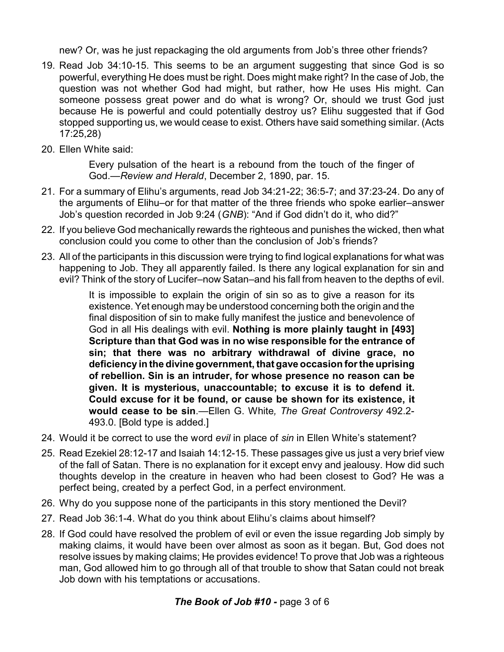new? Or, was he just repackaging the old arguments from Job's three other friends?

- 19. Read Job 34:10-15. This seems to be an argument suggesting that since God is so powerful, everything He does must be right. Does might make right? In the case of Job, the question was not whether God had might, but rather, how He uses His might. Can someone possess great power and do what is wrong? Or, should we trust God just because He is powerful and could potentially destroy us? Elihu suggested that if God stopped supporting us, we would cease to exist. Others have said something similar. (Acts 17:25,28)
- 20. Ellen White said:

Every pulsation of the heart is a rebound from the touch of the finger of God.—*Review and Herald*, December 2, 1890, par. 15.

- 21. For a summary of Elihu's arguments, read Job 34:21-22; 36:5-7; and 37:23-24. Do any of the arguments of Elihu–or for that matter of the three friends who spoke earlier–answer Job's question recorded in Job 9:24 (*GNB*): "And if God didn't do it, who did?"
- 22. If you believe God mechanically rewards the righteous and punishes the wicked, then what conclusion could you come to other than the conclusion of Job's friends?
- 23. All of the participants in this discussion were trying to find logical explanations for what was happening to Job. They all apparently failed. Is there any logical explanation for sin and evil? Think of the story of Lucifer–now Satan–and his fall from heaven to the depths of evil.

It is impossible to explain the origin of sin so as to give a reason for its existence. Yet enough may be understood concerning both the origin and the final disposition of sin to make fully manifest the justice and benevolence of God in all His dealings with evil. **Nothing is more plainly taught in [493] Scripture than that God was in no wise responsible for the entrance of sin; that there was no arbitrary withdrawal of divine grace, no deficiency in the divine government, that gave occasion for the uprising of rebellion. Sin is an intruder, for whose presence no reason can be given. It is mysterious, unaccountable; to excuse it is to defend it. Could excuse for it be found, or cause be shown for its existence, it would cease to be sin**.—Ellen G. White*, The Great Controversy* 492.2- 493.0. [Bold type is added.]

- 24. Would it be correct to use the word *evil* in place of *sin* in Ellen White's statement?
- 25. Read Ezekiel 28:12-17 and Isaiah 14:12-15. These passages give us just a very brief view of the fall of Satan. There is no explanation for it except envy and jealousy. How did such thoughts develop in the creature in heaven who had been closest to God? He was a perfect being, created by a perfect God, in a perfect environment.
- 26. Why do you suppose none of the participants in this story mentioned the Devil?
- 27. Read Job 36:1-4. What do you think about Elihu's claims about himself?
- 28. If God could have resolved the problem of evil or even the issue regarding Job simply by making claims, it would have been over almost as soon as it began. But, God does not resolve issues by making claims; He provides evidence! To prove that Job was a righteous man, God allowed him to go through all of that trouble to show that Satan could not break Job down with his temptations or accusations.

# *The Book of Job #10 -* page 3 of 6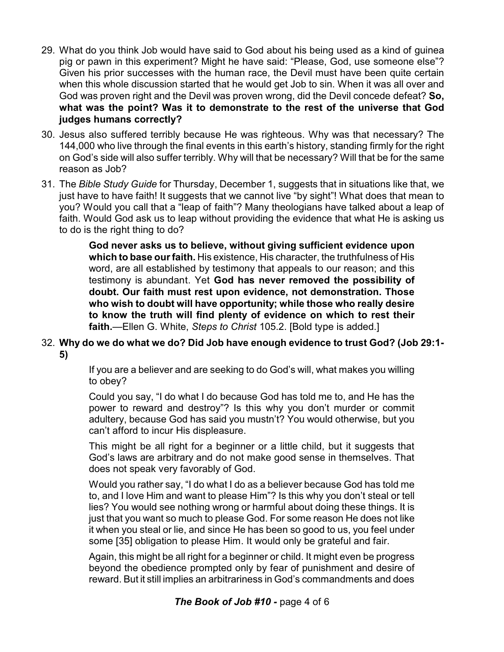- 29. What do you think Job would have said to God about his being used as a kind of guinea pig or pawn in this experiment? Might he have said: "Please, God, use someone else"? Given his prior successes with the human race, the Devil must have been quite certain when this whole discussion started that he would get Job to sin. When it was all over and God was proven right and the Devil was proven wrong, did the Devil concede defeat? **So, what was the point? Was it to demonstrate to the rest of the universe that God judges humans correctly?**
- 30. Jesus also suffered terribly because He was righteous. Why was that necessary? The 144,000 who live through the final events in this earth's history, standing firmly for the right on God's side will also suffer terribly. Why will that be necessary? Will that be for the same reason as Job?
- 31. The *Bible Study Guide* for Thursday, December 1, suggests that in situations like that, we just have to have faith! It suggests that we cannot live "by sight"! What does that mean to you? Would you call that a "leap of faith"? Many theologians have talked about a leap of faith. Would God ask us to leap without providing the evidence that what He is asking us to do is the right thing to do?

**God never asks us to believe, without giving sufficient evidence upon which to base our faith.** His existence, His character, the truthfulness of His word, are all established by testimony that appeals to our reason; and this testimony is abundant. Yet **God has never removed the possibility of doubt. Our faith must rest upon evidence, not demonstration. Those who wish to doubt will have opportunity; while those who really desire to know the truth will find plenty of evidence on which to rest their faith.**—Ellen G. White, *Steps to Christ* 105.2. [Bold type is added.]

#### 32. **Why do we do what we do? Did Job have enough evidence to trust God? (Job 29:1- 5)**

If you are a believer and are seeking to do God's will, what makes you willing to obey?

Could you say, "I do what I do because God has told me to, and He has the power to reward and destroy"? Is this why you don't murder or commit adultery, because God has said you mustn't? You would otherwise, but you can't afford to incur His displeasure.

This might be all right for a beginner or a little child, but it suggests that God's laws are arbitrary and do not make good sense in themselves. That does not speak very favorably of God.

Would you rather say, "I do what I do as a believer because God has told me to, and I love Him and want to please Him"? Is this why you don't steal or tell lies? You would see nothing wrong or harmful about doing these things. It is just that you want so much to please God. For some reason He does not like it when you steal or lie, and since He has been so good to us, you feel under some [35] obligation to please Him. It would only be grateful and fair.

Again, this might be all right for a beginner or child. It might even be progress beyond the obedience prompted only by fear of punishment and desire of reward. But it still implies an arbitrariness in God's commandments and does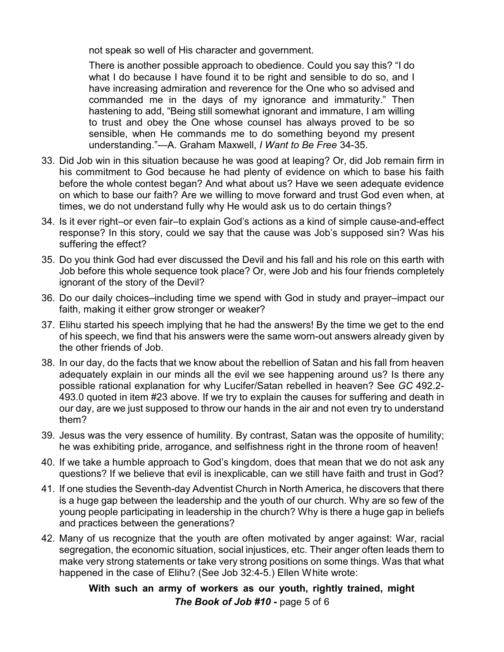not speak so well of His character and government.

There is another possible approach to obedience. Could you say this? "I do what I do because I have found it to be right and sensible to do so, and I have increasing admiration and reverence for the One who so advised and commanded me in the days of my ignorance and immaturity." Then hastening to add, "Being still somewhat ignorant and immature, I am willing to trust and obey the One whose counsel has always proved to be so sensible, when He commands me to do something beyond my present understanding."—A. Graham Maxwell, *I Want to Be Free* 34-35.

- 33. Did Job win in this situation because he was good at leaping? Or, did Job remain firm in his commitment to God because he had plenty of evidence on which to base his faith before the whole contest began? And what about us? Have we seen adequate evidence on which to base our faith? Are we willing to move forward and trust God even when, at times, we do not understand fully why He would ask us to do certain things?
- 34. Is it ever right–or even fair–to explain God's actions as a kind of simple cause-and-effect response? In this story, could we say that the cause was Job's supposed sin? Was his suffering the effect?
- 35. Do you think God had ever discussed the Devil and his fall and his role on this earth with Job before this whole sequence took place? Or, were Job and his four friends completely ignorant of the story of the Devil?
- 36. Do our daily choices–including time we spend with God in study and prayer–impact our faith, making it either grow stronger or weaker?
- 37. Elihu started his speech implying that he had the answers! By the time we get to the end of his speech, we find that his answers were the same worn-out answers already given by the other friends of Job.
- 38. In our day, do the facts that we know about the rebellion of Satan and his fall from heaven adequately explain in our minds all the evil we see happening around us? Is there any possible rational explanation for why Lucifer/Satan rebelled in heaven? See *GC* 492.2- 493.0 quoted in item #23 above. If we try to explain the causes for suffering and death in our day, are we just supposed to throw our hands in the air and not even try to understand them?
- 39. Jesus was the very essence of humility. By contrast, Satan was the opposite of humility; he was exhibiting pride, arrogance, and selfishness right in the throne room of heaven!
- 40. If we take a humble approach to God's kingdom, does that mean that we do not ask any questions? If we believe that evil is inexplicable, can we still have faith and trust in God?
- 41. If one studies the Seventh-day Adventist Church in North America, he discovers that there is a huge gap between the leadership and the youth of our church. Why are so few of the young people participating in leadership in the church? Why is there a huge gap in beliefs and practices between the generations?
- 42. Many of us recognize that the youth are often motivated by anger against: War, racial segregation, the economic situation, social injustices, etc. Their anger often leads them to make very strong statements or take very strong positions on some things. Was that what happened in the case of Elihu? (See Job 32:4-5.) Ellen White wrote:

## **With such an army of workers as our youth, rightly trained, might** *The Book of Job #10 -* page 5 of 6